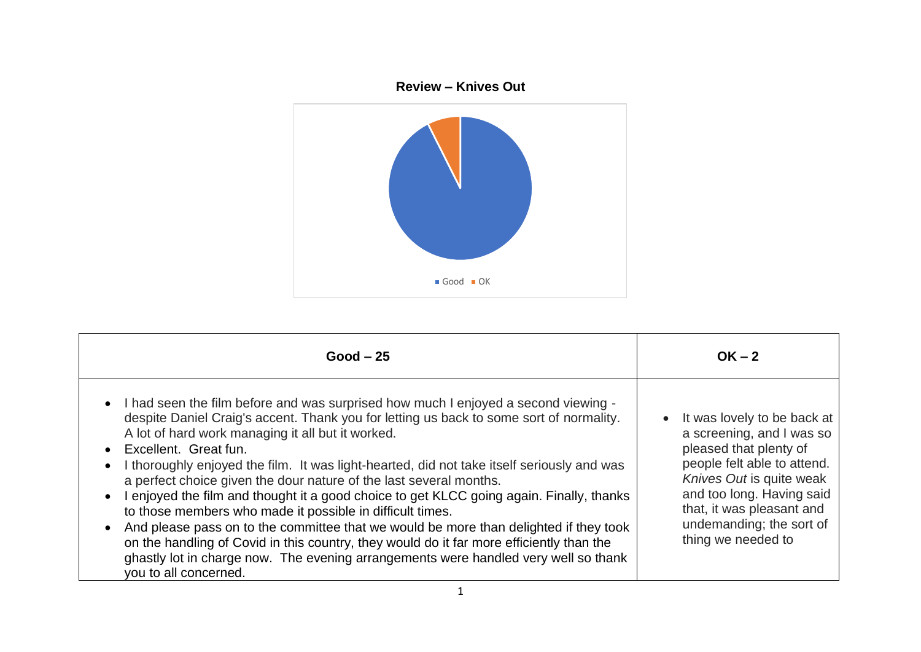

| $Good - 25$                                                                                                                                                                                                                                                                                                                                                                                                                                                                                                                                                                                                                                                                                                                                                                                                                                                                                                                                         | $OK - 2$                                                                                                                                                                                                                                                               |
|-----------------------------------------------------------------------------------------------------------------------------------------------------------------------------------------------------------------------------------------------------------------------------------------------------------------------------------------------------------------------------------------------------------------------------------------------------------------------------------------------------------------------------------------------------------------------------------------------------------------------------------------------------------------------------------------------------------------------------------------------------------------------------------------------------------------------------------------------------------------------------------------------------------------------------------------------------|------------------------------------------------------------------------------------------------------------------------------------------------------------------------------------------------------------------------------------------------------------------------|
| • I had seen the film before and was surprised how much I enjoyed a second viewing -<br>despite Daniel Craig's accent. Thank you for letting us back to some sort of normality.<br>A lot of hard work managing it all but it worked.<br>Excellent. Great fun.<br>$\bullet$<br>I thoroughly enjoyed the film. It was light-hearted, did not take itself seriously and was<br>$\bullet$<br>a perfect choice given the dour nature of the last several months.<br>I enjoyed the film and thought it a good choice to get KLCC going again. Finally, thanks<br>$\bullet$<br>to those members who made it possible in difficult times.<br>And please pass on to the committee that we would be more than delighted if they took<br>$\bullet$<br>on the handling of Covid in this country, they would do it far more efficiently than the<br>ghastly lot in charge now. The evening arrangements were handled very well so thank<br>you to all concerned. | It was lovely to be back at<br>$\bullet$<br>a screening, and I was so<br>pleased that plenty of<br>people felt able to attend.<br>Knives Out is quite weak<br>and too long. Having said<br>that, it was pleasant and<br>undemanding; the sort of<br>thing we needed to |